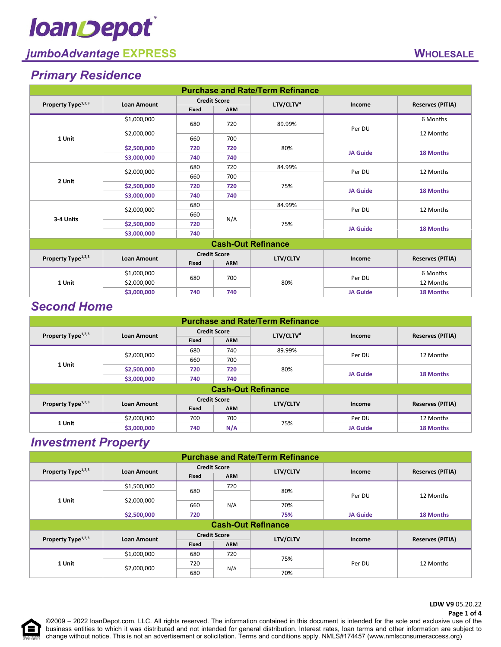# **loanDepot**

### *jumboAdvantage* **EXPRESS WHOLESALE**

### *Primary Residence*

| <b>Purchase and Rate/Term Refinance</b> |                    |                     |            |                       |                 |                         |  |
|-----------------------------------------|--------------------|---------------------|------------|-----------------------|-----------------|-------------------------|--|
| Property Type <sup>1,2,3</sup>          | <b>Loan Amount</b> | <b>Credit Score</b> |            | LTV/CLTV <sup>4</sup> | Income          | <b>Reserves (PITIA)</b> |  |
|                                         |                    | Fixed               | <b>ARM</b> |                       |                 |                         |  |
|                                         | \$1,000,000        | 680                 | 720        | 89.99%                |                 | 6 Months                |  |
|                                         |                    |                     |            |                       | Per DU          | 12 Months               |  |
| 1 Unit                                  | \$2,000,000        | 660                 | 700        |                       |                 |                         |  |
|                                         | \$2,500,000        | 720                 | 720        | 80%                   | <b>JA Guide</b> |                         |  |
|                                         | \$3,000,000        | 740                 | 740        |                       |                 | <b>18 Months</b>        |  |
|                                         |                    | 680                 | 720        | 84.99%                |                 | 12 Months               |  |
| 2 Unit                                  | \$2,000,000        | 660                 | 700        |                       | Per DU          |                         |  |
|                                         | \$2,500,000        | 720                 | 720        | 75%                   | <b>JA Guide</b> | <b>18 Months</b>        |  |
|                                         | \$3,000,000        | 740                 | 740        |                       |                 |                         |  |
|                                         | \$2,000,000        | 680                 |            | 84.99%                | Per DU          | 12 Months               |  |
| 3-4 Units                               |                    | 660                 |            |                       |                 |                         |  |
|                                         | \$2,500,000        | 720                 | N/A        | 75%                   | <b>JA Guide</b> | <b>18 Months</b>        |  |
|                                         | \$3,000,000        | 740                 |            |                       |                 |                         |  |
| <b>Cash-Out Refinance</b>               |                    |                     |            |                       |                 |                         |  |
| Property Type <sup>1,2,3</sup>          | <b>Loan Amount</b> | <b>Credit Score</b> |            | LTV/CLTV              | Income          | <b>Reserves (PITIA)</b> |  |
|                                         |                    | Fixed               | <b>ARM</b> |                       |                 |                         |  |
|                                         | \$1,000,000        | 680                 | 700        |                       | Per DU          | 6 Months                |  |
| 1 Unit                                  | \$2,000,000        |                     |            | 80%                   |                 | 12 Months               |  |
|                                         | \$3,000,000        | 740                 | 740        |                       | <b>JA Guide</b> | <b>18 Months</b>        |  |

### *Second Home*

| <b>Purchase and Rate/Term Refinance</b> |                    |                     |            |                       |                 |                         |  |
|-----------------------------------------|--------------------|---------------------|------------|-----------------------|-----------------|-------------------------|--|
| Property Type <sup>1,2,3</sup>          | <b>Loan Amount</b> | <b>Credit Score</b> |            | LTV/CLTV <sup>4</sup> | Income          | <b>Reserves (PITIA)</b> |  |
|                                         |                    | Fixed               | <b>ARM</b> |                       |                 |                         |  |
|                                         | \$2,000,000        | 680                 | 740        | 89.99%                | Per DU          | 12 Months               |  |
| 1 Unit                                  |                    | 660                 | 700        |                       |                 |                         |  |
|                                         | \$2,500,000        | 720                 | 720        | 80%                   | <b>JA Guide</b> | 18 Months               |  |
|                                         | \$3,000,000        | 740                 | 740        |                       |                 |                         |  |
| <b>Cash-Out Refinance</b>               |                    |                     |            |                       |                 |                         |  |
| Property Type <sup>1,2,3</sup>          | <b>Loan Amount</b> | <b>Credit Score</b> |            | <b>LTV/CLTV</b>       | Income          | <b>Reserves (PITIA)</b> |  |
|                                         |                    | Fixed               | <b>ARM</b> |                       |                 |                         |  |
| 1 Unit                                  | \$2,000,000        | 700                 | 700        | 75%                   | Per DU          | 12 Months               |  |
|                                         | \$3,000,000        | 740                 | N/A        |                       | <b>JA Guide</b> | 18 Months               |  |

### *Investment Property*

| <b>Purchase and Rate/Term Refinance</b>              |                           |                     |                 |                           |                      |                         |  |
|------------------------------------------------------|---------------------------|---------------------|-----------------|---------------------------|----------------------|-------------------------|--|
| Property Type <sup>1,2,3</sup>                       | <b>Loan Amount</b>        | <b>Credit Score</b> |                 | LTV/CLTV                  | Income               | <b>Reserves (PITIA)</b> |  |
|                                                      |                           | Fixed               | <b>ARM</b>      |                           |                      |                         |  |
|                                                      | \$1,500,000               | 680                 | 720             |                           |                      |                         |  |
| 1 Unit                                               | \$2,000,000               |                     |                 |                           | 80%<br>Per DU<br>70% | 12 Months               |  |
|                                                      |                           | 660                 | N/A             |                           |                      |                         |  |
|                                                      | \$2,500,000<br>720<br>75% |                     | <b>JA Guide</b> | 18 Months                 |                      |                         |  |
|                                                      |                           |                     |                 | <b>Cash-Out Refinance</b> |                      |                         |  |
| Property Type <sup>1,2,3</sup><br><b>Loan Amount</b> |                           | <b>Credit Score</b> |                 | LTV/CLTV                  | Income               | <b>Reserves (PITIA)</b> |  |
|                                                      |                           | Fixed               | <b>ARM</b>      |                           |                      |                         |  |
|                                                      | \$1,000,000               | 680                 | 720             | 75%                       |                      |                         |  |
| 1 Unit                                               | \$2,000,000               | 720                 |                 |                           | Per DU               | 12 Months               |  |
|                                                      |                           | 680                 | N/A             | 70%                       |                      |                         |  |

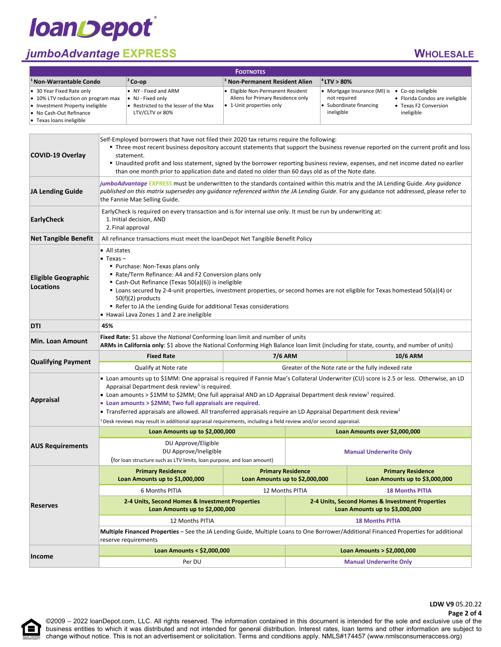## **loanDepot**

### *jumboAdvantage* **EXPRESS WHOLESALE**

| <b>FOOTNOTES</b>                                                                                                                                                   |                                                                                                       |                                                                                                    |                                                                                                                                                                                  |  |  |
|--------------------------------------------------------------------------------------------------------------------------------------------------------------------|-------------------------------------------------------------------------------------------------------|----------------------------------------------------------------------------------------------------|----------------------------------------------------------------------------------------------------------------------------------------------------------------------------------|--|--|
| $1$ Non-Warrantable Condo                                                                                                                                          | $ ^{2}$ Co-op                                                                                         | <sup>3</sup> Non-Permanent Resident Alien                                                          | $ ^{4}$ LTV $> 80\%$                                                                                                                                                             |  |  |
| • 30 Year Fixed Rate only<br>• 10% LTV reduction on program max<br>• Investment Property ineligible<br>• No Cash-Out Refinance<br>$\bullet$ Texas loans ineligible | • NY - Fixed and ARM<br>• NJ - Fixed only<br>• Restricted to the lesser of the Max<br>LTV/CLTV or 80% | • Eligible Non-Permanent Resident<br>Aliens for Primary Residence only<br>• 1-Unit properties only | • Mortgage Insurance (MI) is • Co-op ineligible<br>not reauired<br>• Florida Condos are ineligible<br>Subordinate financing<br>• Texas F2 Conversion<br>ineligible<br>ineligible |  |  |

| <b>COVID-19 Overlay</b>                        | Self-Employed borrowers that have not filed their 2020 tax returns require the following:<br>" Three most recent business depository account statements that support the business revenue reported on the current profit and loss<br>statement.<br>" Unaudited profit and loss statement, signed by the borrower reporting business review, expenses, and net income dated no earlier<br>than one month prior to application date and dated no older than 60 days old as of the Note date.                                                                                                                                                                   |                                                                                                               |                                                            |                                                                                   |  |  |
|------------------------------------------------|--------------------------------------------------------------------------------------------------------------------------------------------------------------------------------------------------------------------------------------------------------------------------------------------------------------------------------------------------------------------------------------------------------------------------------------------------------------------------------------------------------------------------------------------------------------------------------------------------------------------------------------------------------------|---------------------------------------------------------------------------------------------------------------|------------------------------------------------------------|-----------------------------------------------------------------------------------|--|--|
| JA Lending Guide                               | jumboAdvantage EXPRESS must be underwritten to the standards contained within this matrix and the JA Lending Guide. Any guidance<br>published on this matrix supersedes any guidance referenced within the JA Lending Guide. For any guidance not addressed, please refer to<br>the Fannie Mae Selling Guide.                                                                                                                                                                                                                                                                                                                                                |                                                                                                               |                                                            |                                                                                   |  |  |
| <b>EarlyCheck</b>                              | 1. Initial decision, AND<br>2. Final approval                                                                                                                                                                                                                                                                                                                                                                                                                                                                                                                                                                                                                | Early Check is required on every transaction and is for internal use only. It must be run by underwriting at: |                                                            |                                                                                   |  |  |
| <b>Net Tangible Benefit</b>                    | All refinance transactions must meet the loanDepot Net Tangible Benefit Policy                                                                                                                                                                                                                                                                                                                                                                                                                                                                                                                                                                               |                                                                                                               |                                                            |                                                                                   |  |  |
| <b>Eligible Geographic</b><br><b>Locations</b> | • All states<br>$\bullet$ Texas $-$<br>• Purchase: Non-Texas plans only<br>Rate/Term Refinance: A4 and F2 Conversion plans only<br>Cash-Out Refinance (Texas 50(a)(6)) is ineligible<br>" Loans secured by 2-4-unit properties, investment properties, or second homes are not eligible for Texas homestead 50(a)(4) or<br>$50(f)(2)$ products<br>Refer to JA the Lending Guide for additional Texas considerations<br>• Hawaii Lava Zones 1 and 2 are ineligible                                                                                                                                                                                            |                                                                                                               |                                                            |                                                                                   |  |  |
| DTI                                            | 45%                                                                                                                                                                                                                                                                                                                                                                                                                                                                                                                                                                                                                                                          |                                                                                                               |                                                            |                                                                                   |  |  |
| <b>Min. Loan Amount</b>                        | Fixed Rate: \$1 above the National Conforming loan limit and number of units<br>ARMs in California only: \$1 above the National Conforming High Balance loan limit (including for state, county, and number of units)                                                                                                                                                                                                                                                                                                                                                                                                                                        |                                                                                                               |                                                            |                                                                                   |  |  |
|                                                |                                                                                                                                                                                                                                                                                                                                                                                                                                                                                                                                                                                                                                                              |                                                                                                               |                                                            |                                                                                   |  |  |
|                                                | <b>Fixed Rate</b>                                                                                                                                                                                                                                                                                                                                                                                                                                                                                                                                                                                                                                            |                                                                                                               | <b>7/6 ARM</b>                                             | <b>10/6 ARM</b>                                                                   |  |  |
| <b>Qualifying Payment</b>                      | Qualify at Note rate                                                                                                                                                                                                                                                                                                                                                                                                                                                                                                                                                                                                                                         |                                                                                                               |                                                            | Greater of the Note rate or the fully indexed rate                                |  |  |
| Appraisal                                      | • Loan amounts up to \$1MM: One appraisal is required if Fannie Mae's Collateral Underwriter (CU) score is 2.5 or less. Otherwise, an LD<br>Appraisal Department desk review <sup>1</sup> is required.<br>• Loan amounts > \$1MM to \$2MM; One full appraisal AND an LD Appraisal Department desk review <sup>1</sup> required.<br>• Loan amounts > \$2MM; Two full appraisals are required.<br>• Transferred appraisals are allowed. All transferred appraisals require an LD Appraisal Department desk review <sup>1</sup><br><sup>1</sup> Desk reviews may result in additional appraisal requirements, including a field review and/or second appraisal. |                                                                                                               |                                                            |                                                                                   |  |  |
|                                                | Loan Amounts up to \$2,000,000                                                                                                                                                                                                                                                                                                                                                                                                                                                                                                                                                                                                                               |                                                                                                               |                                                            | Loan Amounts over \$2,000,000                                                     |  |  |
| <b>AUS Requirements</b>                        | DU Approve/Eligible<br>DU Approve/Ineligible<br>(for loan structure such as LTV limits, loan purpose, and loan amount)                                                                                                                                                                                                                                                                                                                                                                                                                                                                                                                                       |                                                                                                               |                                                            | <b>Manual Underwrite Only</b>                                                     |  |  |
|                                                | <b>Primary Residence</b><br>Loan Amounts up to \$1,000,000                                                                                                                                                                                                                                                                                                                                                                                                                                                                                                                                                                                                   |                                                                                                               | <b>Primary Residence</b><br>Loan Amounts up to \$2,000,000 | <b>Primary Residence</b><br>Loan Amounts up to \$3,000,000                        |  |  |
|                                                | <b>6 Months PITIA</b>                                                                                                                                                                                                                                                                                                                                                                                                                                                                                                                                                                                                                                        |                                                                                                               | 12 Months PITIA                                            | <b>18 Months PITIA</b>                                                            |  |  |
| <b>Reserves</b>                                | 2-4 Units, Second Homes & Investment Properties<br>Loan Amounts up to \$2,000,000                                                                                                                                                                                                                                                                                                                                                                                                                                                                                                                                                                            |                                                                                                               |                                                            | 2-4 Units, Second Homes & Investment Properties<br>Loan Amounts up to \$3,000,000 |  |  |
|                                                | 12 Months PITIA                                                                                                                                                                                                                                                                                                                                                                                                                                                                                                                                                                                                                                              |                                                                                                               |                                                            | <b>18 Months PITIA</b>                                                            |  |  |
|                                                | Multiple Financed Properties – See the JA Lending Guide, Multiple Loans to One Borrower/Additional Financed Properties for additional<br>reserve requirements                                                                                                                                                                                                                                                                                                                                                                                                                                                                                                |                                                                                                               |                                                            |                                                                                   |  |  |
| Income                                         | Loan Amounts < \$2,000,000                                                                                                                                                                                                                                                                                                                                                                                                                                                                                                                                                                                                                                   |                                                                                                               |                                                            | Loan Amounts > \$2,000,000                                                        |  |  |

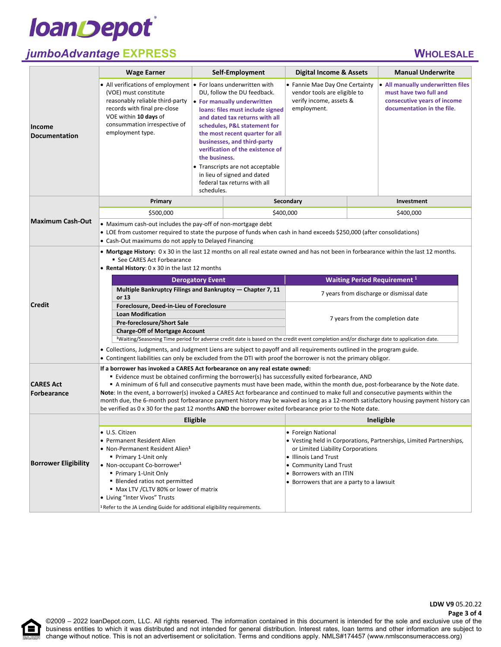

8

### *jumboAdvantage* **EXPRESS WHOLESALE**

|                                                                                                                                                                                                                       | <b>Wage Earner</b>                                                                                                                                                                                                                                                                                                                                                                                                                                                                                                                                                                                                                                                                                   | Self-Employment                                                                                                                                                                                                                                                                                                                                                                                                                           |  | <b>Digital Income &amp; Assets</b>                                                                       |  | <b>Manual Underwrite</b>                                                                                                 |
|-----------------------------------------------------------------------------------------------------------------------------------------------------------------------------------------------------------------------|------------------------------------------------------------------------------------------------------------------------------------------------------------------------------------------------------------------------------------------------------------------------------------------------------------------------------------------------------------------------------------------------------------------------------------------------------------------------------------------------------------------------------------------------------------------------------------------------------------------------------------------------------------------------------------------------------|-------------------------------------------------------------------------------------------------------------------------------------------------------------------------------------------------------------------------------------------------------------------------------------------------------------------------------------------------------------------------------------------------------------------------------------------|--|----------------------------------------------------------------------------------------------------------|--|--------------------------------------------------------------------------------------------------------------------------|
| <b>Income</b><br><b>Documentation</b>                                                                                                                                                                                 | • All verifications of employment<br>(VOE) must constitute<br>reasonably reliable third-party<br>records with final pre-close<br>VOE within 10 days of<br>consummation irrespective of<br>employment type.                                                                                                                                                                                                                                                                                                                                                                                                                                                                                           | • For loans underwritten with<br>DU, follow the DU feedback.<br>• For manually underwritten<br>loans: files must include signed<br>and dated tax returns with all<br>schedules, P&L statement for<br>the most recent quarter for all<br>businesses, and third-party<br>verification of the existence of<br>the business.<br>• Transcripts are not acceptable<br>in lieu of signed and dated<br>federal tax returns with all<br>schedules. |  | • Fannie Mae Day One Certainty<br>vendor tools are eligible to<br>verify income, assets &<br>employment. |  | • All manually underwritten files<br>must have two full and<br>consecutive years of income<br>documentation in the file. |
|                                                                                                                                                                                                                       | Primary                                                                                                                                                                                                                                                                                                                                                                                                                                                                                                                                                                                                                                                                                              |                                                                                                                                                                                                                                                                                                                                                                                                                                           |  | Secondary                                                                                                |  | Investment                                                                                                               |
|                                                                                                                                                                                                                       | \$500,000                                                                                                                                                                                                                                                                                                                                                                                                                                                                                                                                                                                                                                                                                            |                                                                                                                                                                                                                                                                                                                                                                                                                                           |  | \$400,000                                                                                                |  | \$400,000                                                                                                                |
| <b>Maximum Cash-Out</b>                                                                                                                                                                                               | • Maximum cash-out includes the pay-off of non-mortgage debt<br>• LOE from customer required to state the purpose of funds when cash in hand exceeds \$250,000 (after consolidations)<br>• Cash-Out maximums do not apply to Delayed Financing                                                                                                                                                                                                                                                                                                                                                                                                                                                       |                                                                                                                                                                                                                                                                                                                                                                                                                                           |  |                                                                                                          |  |                                                                                                                          |
| • Mortgage History: 0 x 30 in the last 12 months on all real estate owned and has not been in forbearance within the last 12 months.<br>■ See CARES Act Forbearance<br>• Rental History: 0 x 30 in the last 12 months |                                                                                                                                                                                                                                                                                                                                                                                                                                                                                                                                                                                                                                                                                                      |                                                                                                                                                                                                                                                                                                                                                                                                                                           |  |                                                                                                          |  |                                                                                                                          |
|                                                                                                                                                                                                                       | <b>Derogatory Event</b>                                                                                                                                                                                                                                                                                                                                                                                                                                                                                                                                                                                                                                                                              |                                                                                                                                                                                                                                                                                                                                                                                                                                           |  |                                                                                                          |  | <b>Waiting Period Requirement 1</b>                                                                                      |
|                                                                                                                                                                                                                       | Multiple Bankruptcy Filings and Bankruptcy - Chapter 7, 11<br>or 13                                                                                                                                                                                                                                                                                                                                                                                                                                                                                                                                                                                                                                  |                                                                                                                                                                                                                                                                                                                                                                                                                                           |  |                                                                                                          |  | 7 years from discharge or dismissal date                                                                                 |
| <b>Credit</b>                                                                                                                                                                                                         | Foreclosure, Deed-in-Lieu of Foreclosure                                                                                                                                                                                                                                                                                                                                                                                                                                                                                                                                                                                                                                                             |                                                                                                                                                                                                                                                                                                                                                                                                                                           |  |                                                                                                          |  |                                                                                                                          |
|                                                                                                                                                                                                                       | <b>Loan Modification</b>                                                                                                                                                                                                                                                                                                                                                                                                                                                                                                                                                                                                                                                                             |                                                                                                                                                                                                                                                                                                                                                                                                                                           |  | 7 years from the completion date                                                                         |  |                                                                                                                          |
|                                                                                                                                                                                                                       | Pre-foreclosure/Short Sale<br><b>Charge-Off of Mortgage Account</b>                                                                                                                                                                                                                                                                                                                                                                                                                                                                                                                                                                                                                                  |                                                                                                                                                                                                                                                                                                                                                                                                                                           |  |                                                                                                          |  |                                                                                                                          |
|                                                                                                                                                                                                                       | <sup>1</sup> Waiting/Seasoning Time period for adverse credit date is based on the credit event completion and/or discharge date to application date.                                                                                                                                                                                                                                                                                                                                                                                                                                                                                                                                                |                                                                                                                                                                                                                                                                                                                                                                                                                                           |  |                                                                                                          |  |                                                                                                                          |
|                                                                                                                                                                                                                       | . Collections, Judgments, and Judgment Liens are subject to payoff and all requirements outlined in the program guide.                                                                                                                                                                                                                                                                                                                                                                                                                                                                                                                                                                               |                                                                                                                                                                                                                                                                                                                                                                                                                                           |  |                                                                                                          |  |                                                                                                                          |
|                                                                                                                                                                                                                       | • Contingent liabilities can only be excluded from the DTI with proof the borrower is not the primary obligor.                                                                                                                                                                                                                                                                                                                                                                                                                                                                                                                                                                                       |                                                                                                                                                                                                                                                                                                                                                                                                                                           |  |                                                                                                          |  |                                                                                                                          |
| <b>CARES Act</b><br>Forbearance                                                                                                                                                                                       | If a borrower has invoked a CARES Act forbearance on any real estate owned:<br>■ Evidence must be obtained confirming the borrower(s) has successfully exited forbearance, AND<br>A minimum of 6 full and consecutive payments must have been made, within the month due, post-forbearance by the Note date.<br>Note: In the event, a borrower(s) invoked a CARES Act forbearance and continued to make full and consecutive payments within the<br>month due, the 6-month post forbearance payment history may be waived as long as a 12-month satisfactory housing payment history can<br>be verified as 0 x 30 for the past 12 months AND the borrower exited forbearance prior to the Note date. |                                                                                                                                                                                                                                                                                                                                                                                                                                           |  |                                                                                                          |  |                                                                                                                          |
|                                                                                                                                                                                                                       |                                                                                                                                                                                                                                                                                                                                                                                                                                                                                                                                                                                                                                                                                                      | Eligible                                                                                                                                                                                                                                                                                                                                                                                                                                  |  |                                                                                                          |  | Ineligible                                                                                                               |
|                                                                                                                                                                                                                       | • U.S. Citizen                                                                                                                                                                                                                                                                                                                                                                                                                                                                                                                                                                                                                                                                                       |                                                                                                                                                                                                                                                                                                                                                                                                                                           |  | • Foreign National                                                                                       |  |                                                                                                                          |
|                                                                                                                                                                                                                       | • Permanent Resident Alien                                                                                                                                                                                                                                                                                                                                                                                                                                                                                                                                                                                                                                                                           |                                                                                                                                                                                                                                                                                                                                                                                                                                           |  | • Vesting held in Corporations, Partnerships, Limited Partnerships,                                      |  |                                                                                                                          |
|                                                                                                                                                                                                                       | • Non-Permanent Resident Alien <sup>1</sup><br>Primary 1-Unit only                                                                                                                                                                                                                                                                                                                                                                                                                                                                                                                                                                                                                                   |                                                                                                                                                                                                                                                                                                                                                                                                                                           |  | or Limited Liability Corporations                                                                        |  |                                                                                                                          |
| <b>Borrower Eligibility</b>                                                                                                                                                                                           | • Non-occupant Co-borrower <sup>1</sup>                                                                                                                                                                                                                                                                                                                                                                                                                                                                                                                                                                                                                                                              |                                                                                                                                                                                                                                                                                                                                                                                                                                           |  | • Illinois Land Trust<br>• Community Land Trust                                                          |  |                                                                                                                          |
|                                                                                                                                                                                                                       | Primary 1-Unit Only                                                                                                                                                                                                                                                                                                                                                                                                                                                                                                                                                                                                                                                                                  |                                                                                                                                                                                                                                                                                                                                                                                                                                           |  | • Borrowers with an ITIN                                                                                 |  |                                                                                                                          |
|                                                                                                                                                                                                                       | ■ Blended ratios not permitted                                                                                                                                                                                                                                                                                                                                                                                                                                                                                                                                                                                                                                                                       |                                                                                                                                                                                                                                                                                                                                                                                                                                           |  | • Borrowers that are a party to a lawsuit                                                                |  |                                                                                                                          |
|                                                                                                                                                                                                                       | • Max LTV / CLTV 80% or lower of matrix<br>• Living "Inter Vivos" Trusts                                                                                                                                                                                                                                                                                                                                                                                                                                                                                                                                                                                                                             |                                                                                                                                                                                                                                                                                                                                                                                                                                           |  |                                                                                                          |  |                                                                                                                          |
|                                                                                                                                                                                                                       | <sup>1</sup> Refer to the JA Lending Guide for additional eligibility requirements.                                                                                                                                                                                                                                                                                                                                                                                                                                                                                                                                                                                                                  |                                                                                                                                                                                                                                                                                                                                                                                                                                           |  |                                                                                                          |  |                                                                                                                          |